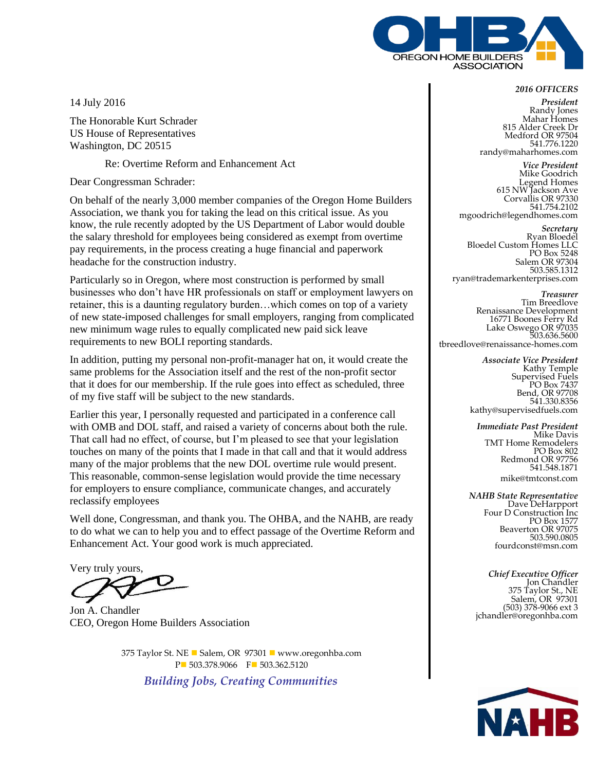

14 July 2016

The Honorable Kurt Schrader US House of Representatives Washington, DC 20515

Re: Overtime Reform and Enhancement Act

Dear Congressman Schrader:

On behalf of the nearly 3,000 member companies of the Oregon Home Builders Association, we thank you for taking the lead on this critical issue. As you know, the rule recently adopted by the US Department of Labor would double the salary threshold for employees being considered as exempt from overtime pay requirements, in the process creating a huge financial and paperwork headache for the construction industry.

Particularly so in Oregon, where most construction is performed by small businesses who don't have HR professionals on staff or employment lawyers on retainer, this is a daunting regulatory burden…which comes on top of a variety of new state-imposed challenges for small employers, ranging from complicated new minimum wage rules to equally complicated new paid sick leave requirements to new BOLI reporting standards.

In addition, putting my personal non-profit-manager hat on, it would create the same problems for the Association itself and the rest of the non-profit sector that it does for our membership. If the rule goes into effect as scheduled, three of my five staff will be subject to the new standards.

Earlier this year, I personally requested and participated in a conference call with OMB and DOL staff, and raised a variety of concerns about both the rule. That call had no effect, of course, but I'm pleased to see that your legislation touches on many of the points that I made in that call and that it would address many of the major problems that the new DOL overtime rule would present. This reasonable, common-sense legislation would provide the time necessary for employers to ensure compliance, communicate changes, and accurately reclassify employees

Well done, Congressman, and thank you. The OHBA, and the NAHB, are ready to do what we can to help you and to effect passage of the Overtime Reform and Enhancement Act. Your good work is much appreciated.

Very truly yours,

Jon A. Chandler CEO, Oregon Home Builders Association

375 Taylor St. NE ■ Salem, OR 97301 ■ www.oregonhba.com P 503.378.9066 F 503.362.5120

*Building Jobs, Creating Communities*

## *2016 OFFICERS*

*President* Randy Jones Mahar Homes 815 Alder Creek Dr Medford OR 97504 541.776.1220 randy@maharhomes.com

*Vice President* Mike Goodrich Legend Homes 615 NW Jackson Ave Corvallis OR 97330 541.754.2102 mgoodrich@legendhomes.com

*Secretary* Ryan Bloedel Bloedel Custom Homes LLC PO Box 5248 Salem OR 97304 503.585.1312 ryan@trademarkenterprises.com

*Treasurer* Tim Breedlove Renaissance Development 16771 Boones Ferry Rd Lake Oswego OR 97035 503.636.5600 tbreedlove@renaissance-homes.com

> *Associate Vice President* Kathy Temple Supervised Fuels PO Box 7437 Bend, OR 97708 541.330.8356 kathy@supervisedfuels.com

*Immediate Past President* Mike Davis TMT Home Remodelers PO Box 802 Redmond OR 97756 541.548.1871 mike@tmtconst.com

*NAHB State Representative* Dave DeHarpport Four D Construction Inc PO Box 1577 Beaverton OR 97075 503.590.0805 fourdconst@msn.com

*Chief Executive Officer* Jon Chandler 375 Taylor St., NE Salem, OR 97301 (503) 378-9066 ext 3 jchandler@oregonhba.com